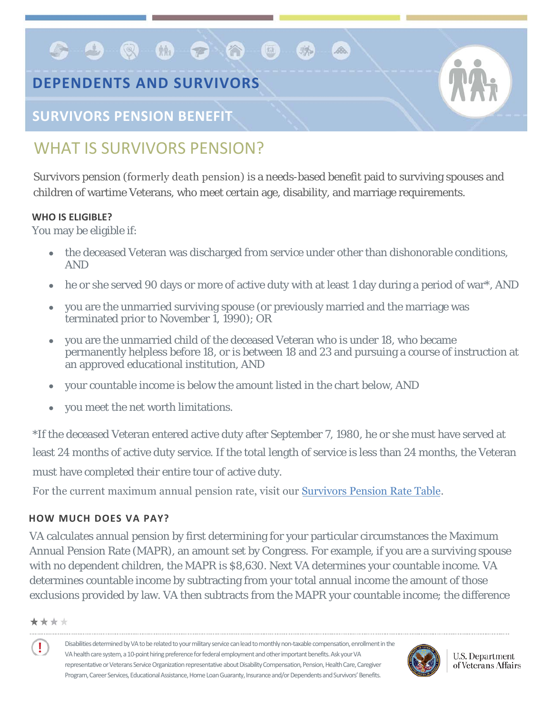# **DEPENDENTS AND SURVIVORS**

**GBQQDQQ** 

### **SURVIVORS PENSION BENEFIT**

## WHAT IS SURVIVORS PENSION?

Survivors pension (formerly death pension) is a needs-based benefit paid to surviving spouses and children of wartime Veterans, who meet certain age, disability, and marriage requirements.

B

#### **WHO IS ELIGIBLE?**

You may be eligible if:

- the deceased Veteran was discharged from service under other than dishonorable conditions, AND
- he or she served 90 days or more of active duty with at least 1 day during a period of war\*, AND
- you are the unmarried surviving spouse (or previously married and the marriage was terminated prior to November 1, 1990); OR
- you are the unmarried child of the deceased Veteran who is under 18, who became permanently helpless before 18, or is between 18 and 23 and pursuing a course of instruction at an approved educational institution, AND
- your countable income is below the amount listed in the chart below, AND
- you meet the net worth limitations.

\*If the deceased Veteran entered active duty after September 7, 1980, he or she must have served at least 24 months of active duty service. If the total lengt[h of service](http://www.benefits.va.gov/PENSION/current_rates_survivor_pen.asp) is less than 24 months, the Veteran must have completed their entire tour of active duty.

For the current maximum annual pension rate, visit our Survivors Pension Rate Table.

### **HOW MUCH DOES VA PAY?**

VA calculates annual pension by first determining for your particular circumstances the Maximum Annual Pension Rate (MAPR), an amount set by Congress. For example, if you are a surviving spouse with no dependent children, the MAPR is \$8,630. Next VA determines your countable income. VA determines countable income by subtracting from your total annual income the amount of those exclusions provided by law. VA then subtracts from the MAPR your countable income; the difference

#### \*\*\*\*

Ţ

Disabilities determined byVA to be related to your military service can lead to monthly non-taxable compensation, enrollment in the VA health care system, a 10-point hiring preference for federal employment and other important benefits. Ask your VA representative or Veterans Service Organization representative about Disability Compensation, Pension, Health Care, Caregiver Program, Career Services, Educational Assistance, Home Loan Guaranty, Insurance and/or Dependents and Survivors' Benefits.



**U.S. Department** of Veterans Affairs